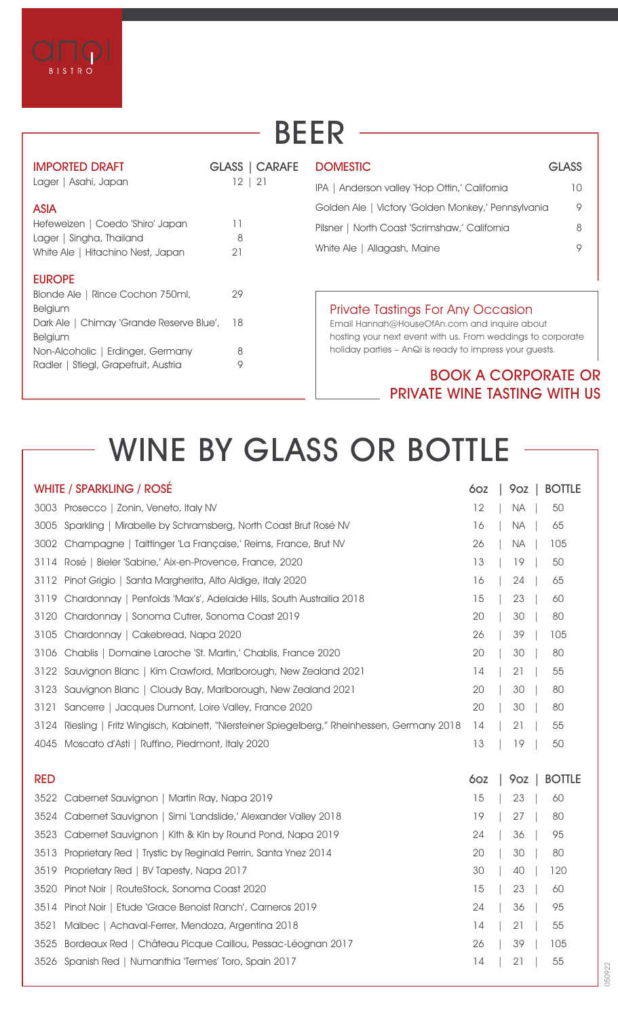

Radler | Stiegl, Grapefruit, Austria 9

## **BEER**

 $\overline{a}$ 

| <b>IMPORTED DRAFT</b>                                         | GLASS   CARAFE | <b>DOMESTIC</b>                                                                                             | <b>GLASS</b> |
|---------------------------------------------------------------|----------------|-------------------------------------------------------------------------------------------------------------|--------------|
| Lager   Asahi, Japan                                          | 21<br>12.      | IPA   Anderson valley 'Hop Ottin,' California                                                               | 10           |
| <b>ASIA</b>                                                   |                | Golden Ale   Victory 'Golden Monkey,' Pennsylvania                                                          | 9            |
| Hefeweizen   Coedo 'Shiro' Japan                              | 11             | Pilsner   North Coast 'Scrimshaw,' California                                                               | 8            |
| Lager   Singha, Thailand<br>White Ale   Hitachino Nest, Japan | 8<br>21        | Allagash, Maine<br>White Ale I                                                                              | 9            |
| <b>EUROPE</b>                                                 |                |                                                                                                             |              |
| Blonde Ale   Rince Cochon 750ml,                              | 29             |                                                                                                             |              |
| Belgium                                                       |                | <b>Private Tastings For Any Occasion</b>                                                                    |              |
| Dark Ale   Chimay 'Grande Reserve Blue',<br>Belgium           | 18             | Email Hannah@HouseOfAn.com and inquire about<br>hosting your next event with us. From weddings to corporate |              |
| Non-Alcoholic   Erdinger, Germany                             | 8              | holiday parties - AnQi is ready to impress your quests.                                                     |              |

#### **BOOK A CORPORATE OR PRIVATE WINE TASTING WITH US**

## **WINE BY GLASS OR BOTTLE**

| <b>WHITE / SPARKLING / ROSÉ</b>                                                                   | 60Z | 9oz<br><b>BOTTLE</b> |
|---------------------------------------------------------------------------------------------------|-----|----------------------|
| 3003 Prosecco   Zonin, Veneto, Italy NV                                                           | 12  | 50<br><b>NA</b>      |
| Sparkling   Mirabelle by Schramsberg, North Coast Brut Rosé NV<br>3005                            | 16  | <b>NA</b><br>65      |
| 3002<br>Champagne   Taittinger 'La Française,' Reims, France, Brut NV                             | 26  | <b>NA</b><br>105     |
| 3114<br>Rosé   Bieler 'Sabine,' Aix-en-Provence, France, 2020                                     | 13  | 19<br>50             |
| Pinot Grigio   Santa Margherita, Alto Aldige, Italy 2020<br>3112                                  | 16  | 24<br>65             |
| Chardonnay   Penfolds 'Max's', Adelaide Hills, South Austrailia 2018<br>3119                      | 15  | 23<br>60             |
| 3120<br>Chardonnay   Sonoma Cutrer, Sonoma Coast 2019                                             | 20  | 30<br>80             |
| 3105<br>Chardonnay   Cakebread, Napa 2020                                                         | 26  | 39<br>105            |
| Chablis   Domaine Laroche 'St. Martin,' Chablis, France 2020<br>3106                              | 20  | 30<br>80             |
| Sauvignon Blanc   Kim Crawford, Marlborough, New Zealand 2021<br>3122                             | 14  | 55<br>21             |
| Sauvignon Blanc   Cloudy Bay, Marlborough, New Zealand 2021<br>3123                               | 20  | 30<br>80             |
| 3121<br>Sancerre   Jacques Dumont, Loire Valley, France 2020                                      | 20  | 30<br>80             |
| 3124<br>Riesling   Fritz Wingisch, Kabinett, "Niersteiner Spiegelberg," Rheinhessen, Germany 2018 | 14  | 21<br>55             |
| Moscato d'Asti   Ruffino, Piedmont, Italy 2020<br>4045                                            | 13  | 19<br>50             |
|                                                                                                   |     |                      |
|                                                                                                   |     |                      |
| <b>RED</b>                                                                                        | 60Z | <b>BOTTLE</b><br>9oz |
| Cabernet Sauvignon   Martin Ray, Napa 2019<br>3522                                                | 15  | 23<br>60             |
| Cabernet Sauvignon   Simi 'Landslide,' Alexander Valley 2018<br>3524                              | 19  | 27<br>80             |
| 3523<br>Cabernet Sauvignon   Kith & Kin by Round Pond, Napa 2019                                  | 24  | 36<br>95             |
| 3513<br>Proprietary Red   Trystic by Reginald Perrin, Santa Ynez 2014                             | 20  | 30<br>80             |
| 3519<br>Proprietary Red   BV Tapesty, Napa 2017                                                   | 30  | 40<br>120            |
| 3520<br>Pinot Noir   RouteStock, Sonoma Coast 2020                                                | 15  | 23<br>60             |
| 3514<br>Pinot Noir   Etude 'Grace Benoist Ranch', Carneros 2019                                   | 24  | 36<br>95             |
| 3521<br>Malbec   Achaval-Ferrer, Mendoza, Argentina 2018                                          | 14  | 21<br>55             |
| 3525<br>Bordeaux Red   Château Picque Caillou, Pessac-Léognan 2017                                | 26  | 39<br>105            |
| 3526 Spanish Red   Numanthia 'Termes' Toro, Spain 2017                                            | 14  | 21<br>55             |